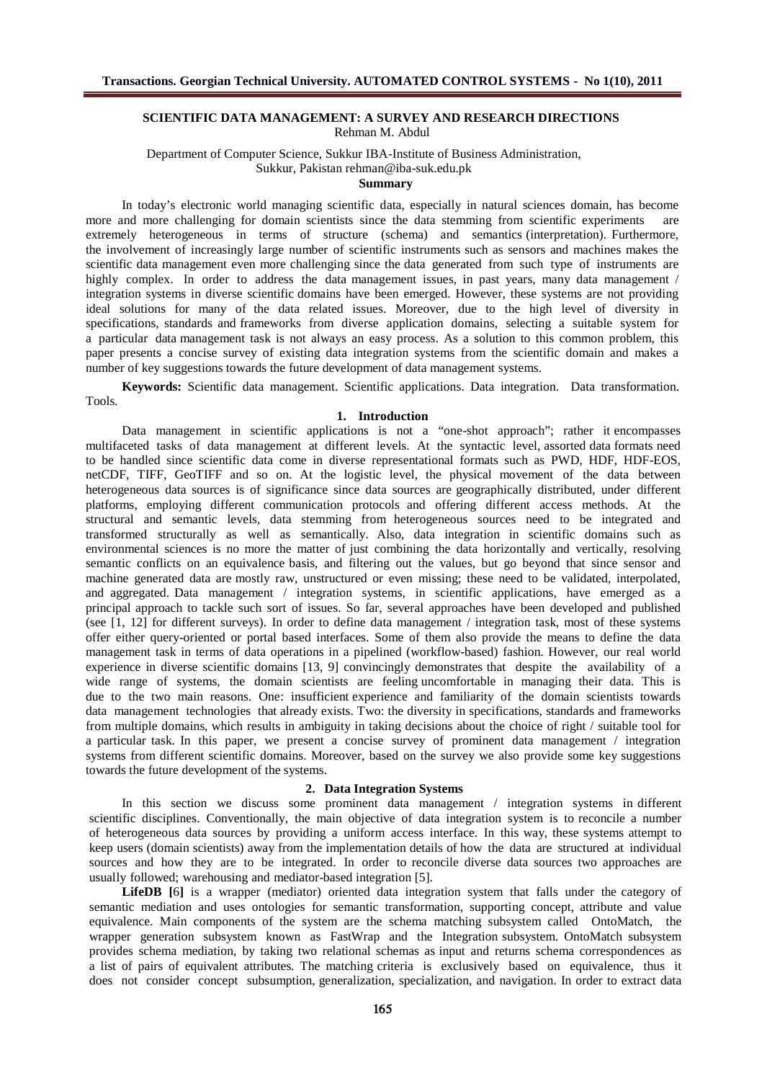## SCIENTI FIC DATA MANAGEMENT: A SURVEY AND RESEARCH DIRECTIONS Rehman M.Abdul

### Department of Computer Science, Sukkur IBA-Institute of BusinessAdministration, Sukkur, Pakistan [rehman@iba-suk.edu.pk](mailto:rehman@iba-suk.edu.pk) Summary

In today€s electronic world managing scientific data, especially in natural sciences domain, hasbecome more and more challenging for domain scientists since the data stemming from scientific experiments extremely heterogeneous in terms of structure (schema) and semantics (interpretation). Furthermore, the involvement of increasingly large number of scientific instruments such as sensors and machinesmakes the scientific data management even more challenging since the data generated from such type of instruments are highly complex. In order to address the data management issues, in past years, many data management / integration systems in diverse scientific domains have beenemerged. However, these systems are not providing ideal solutions for many of the data related issues. Moreover, due to the high level of diversity in specifications, standards and frameworks from diverse application domains, selecting a suitable system for a particular data management task is not always an easy process. As a solution to this common problem, this paper presents a concise survey of existing data integration systems from the scientific domain and makes a numberof keysuggestions towards thefuture developmentof data managementsystems.

Keywords: Scientific data management. Scientific applications. Data integration. Data transformation. Tools.

# 1. Introduc tion

Data management in scientific applications is not a •one-shot approach; rather it encompasses multifaceted tasks of data management at different levels. At the syntactic level, assorted data formats need to be handled since scientific data come in diverse representational formats such as PWD, HDF, HDF-EOS, netCDF, TIFF, GeoTIFF and so on. At the logistic level, the physical movement of the data between heterogeneous data sources is of significance since data sources are geographically distributed, under different platforms, employing different communication protocols and offering diff erent access methods. At the structural and semartic levels, data stemming from heterogeneous sources need to be integrated and transformed structurally as well as semantically. Also, data integration in scientific domains such as environmental sciences is no more the matter of just combining the data horizontally and vertically, resolving semantic conflicts on an equivalence basis, and filtering out the values, but go beyond that since sensor and machine generated data are mostly raw, unstructured or even missing; these need to be validated, interpolated, and aggregated. Data management / integration systems, in scientific applications, have emerged as a principal approach to tackle such sort of issues. So far, several approaches have beendevelopedand published (see [1, 12] for different surveys). In order to define data management / integration task, most of these systems offer either query-oriented or portal based interfaces. Some of them also provide the meansto define the data management task in terms of data operations in a pipelined (workflow-based) fashion. However, our real world experience in diverse scientific domains [13, 9] convincingly demonstrates that despite the availability of a wide range of systems, the domain scientists are feeling uncomfortable in managing their data. This is due to the two main reasons. One: insufficient experience and familiarity of the domain scientists towards data management technologies that alreadyexists. Two: the diversity in specifications, standards and frameworks from multiple domains, which results in ambiguity in taking decisions about the choice of right / suitable tool for a particular task. In this paper, we present a concise survey of prominent data management / integration systems from diff erent scientific domains. Moreover, based on the survey we also provide some key suggestions towardsthefuture developmentof thesystems.

## 2. Data Int egration Systems

In this section we discuss some prominent data management / integration systems in different scientific disciplines. Conventionally, the main objective of data integration system is to reconcile a number of heterogeneous data sources by providing a uniform accessinterface. In this way, these systems attempt to keepusers (domain scientists) awayfrom theimplementation details of how the data are structured at individual sources and how they are to be integrated. In order to reconcile diverse data sources two approaches are usually followed; warehousing and mediator-based integration [5].

Li feDB [6] is a wrapper (mediator) oriented data integration system that falls under the category of semartic medation and uses ontologies for semartic transformation, supporting concept, attribute and value equivalence. Main components of the system are the schema matching subsystem called OntoMatch, the wrapper generation subsystem known as FastWrap and the Integration subsystem. OntoMatch subsystem provides schema mediation, by taking two relational schemas asinput and returns schema correspondences as a list of pairs of equivalent attributes. The matching giteria is exclusively based on equivalence, thus it does not consider concept subsumption, generalization, specialization, andnavigation. In order to extract data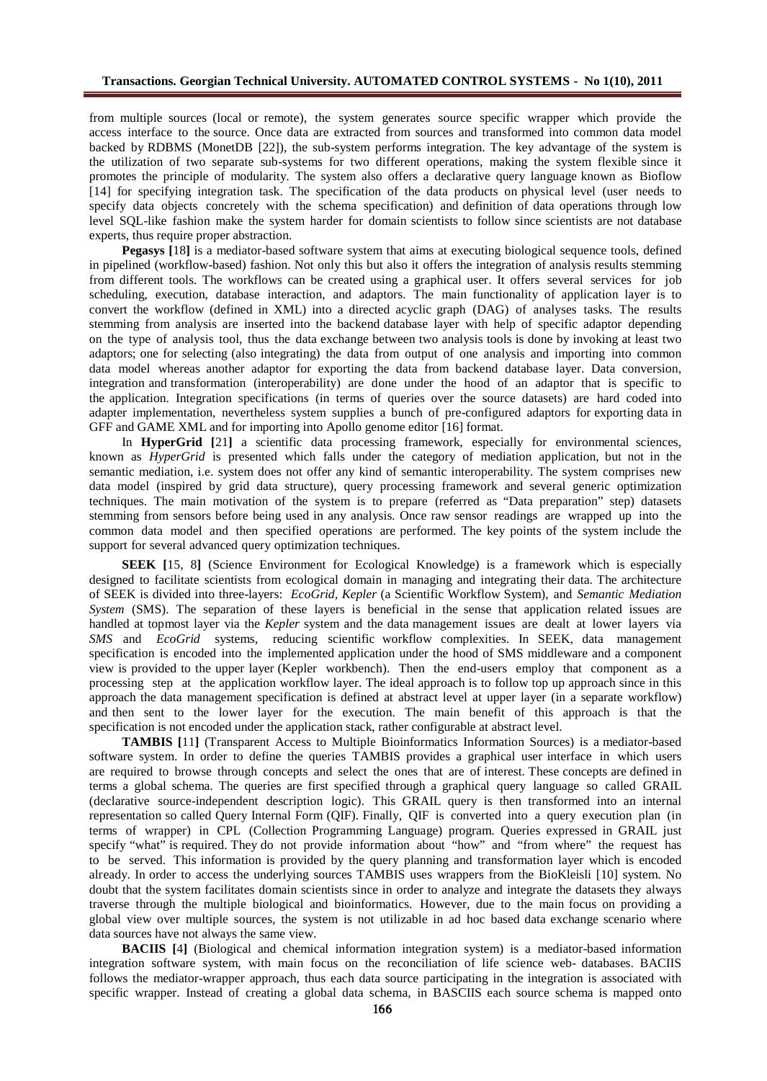from multiple sources (local or remote), the system generates source specific wrapper which provide the access interface to the source. Once data are extracted from sources and transformed into common data model backed by RDBMS (MonetDB [22]), the sub-system performs integration. The key advantage of the system is the utilization of two separate sub-systems for two different operations, making the system flexible since it promotes the principle of modularity. The system also offers a declarative query language known as Bioflow [14] for specifying integration task. The specification of the data products on physical level (user needs to specify data objects concretely with the schema specification) and definition of data operations through low level SQL-like fashion make the system harder for domain scientists to follow since scientists are not database experts, thus require proper abstraction.

**Pegasys [**18**]** is a mediator-based software system that aims at executing biological sequence tools, defined in pipelined (workflow-based) fashion. Not only this but also it offers the integration of analysis results stemming from different tools. The workflows can be created using a graphical user. It offers several services for job scheduling, execution, database interaction, and adaptors. The main functionality of application layer is to convert the workflow (defined in XML) into a directed acyclic graph (DAG) of analyses tasks. The results stemming from analysis are inserted into the backend database layer with help of specific adaptor depending on the type of analysis tool, thus the data exchange between two analysis tools is done by invoking at least two adaptors; one for selecting (also integrating) the data from output of one analysis and importing into common data model whereas another adaptor for exporting the data from backend database layer. Data conversion, integration and transformation (interoperability) are done under the hood of an adaptor that is specific to the application. Integration specifications (in terms of queries over the source datasets) are hard coded into adapter implementation, nevertheless system supplies a bunch of pre-configured adaptors for exporting data in GFF and GAME XML and for importing into Apollo genome editor [16] format.

In **HyperGrid [**21**]** a scientific data processing framework, especially for environmental sciences, known as *HyperGrid* is presented which falls under the category of mediation application, but not in the semantic mediation, i.e. system does not offer any kind of semantic interoperability. The system comprises new data model (inspired by grid data structure), query processing framework and several generic optimization techniques. The main motivation of the system is to prepare (referred as "Data preparation" step) datasets stemming from sensors before being used in any analysis. Once raw sensor readings are wrapped up into the common data model and then specified operations are performed. The key points of the system include the support for several advanced query optimization techniques.

**SEEK [**15, 8**]** (Science Environment for Ecological Knowledge) is a framework which is especially designed to facilitate scientists from ecological domain in managing and integrating their data. The architecture of SEEK is divided into three-layers: *EcoGrid, Kepler* (a Scientific Workflow System), and *Semantic Mediation System* (SMS). The separation of these layers is beneficial in the sense that application related issues are handled at topmost layer via the *Kepler* system and the data management issues are dealt at lower layers via *SMS* and *EcoGrid* systems, reducing scientific workflow complexities. In SEEK, data management specification is encoded into the implemented application under the hood of SMS middleware and a component view is provided to the upper layer (Kepler workbench). Then the end-users employ that component as a processing step at the application workflow layer. The ideal approach is to follow top up approach since in this approach the data management specification is defined at abstract level at upper layer (in a separate workflow) and then sent to the lower layer for the execution. The main benefit of this approach is that the specification is not encoded under the application stack, rather configurable at abstract level.

**TAMBIS [**11**]** (Transparent Access to Multiple Bioinformatics Information Sources) is a mediator-based software system. In order to define the queries TAMBIS provides a graphical user interface in which users are required to browse through concepts and select the ones that are of interest. These concepts are defined in terms a global schema. The queries are first specified through a graphical query language so called GRAIL (declarative source-independent description logic). This GRAIL query is then transformed into an internal representation so called Query Internal Form (QIF). Finally, QIF is converted into a query execution plan (in terms of wrapper) in CPL (Collection Programming Language) program. Queries expressed in GRAIL just specify "what" is required. They do not provide information about "how" and "from where" the request has to be served. This information is provided by the query planning and transformation layer which is encoded already. In order to access the underlying sources TAMBIS uses wrappers from the BioKleisli [10] system. No doubt that the system facilitates domain scientists since in order to analyze and integrate the datasets they always traverse through the multiple biological and bioinformatics. However, due to the main focus on providing a global view over multiple sources, the system is not utilizable in ad hoc based data exchange scenario where data sources have not always the same view.

**BACIIS [**4**]** (Biological and chemical information integration system) is a mediator-based information integration software system, with main focus on the reconciliation of life science web- databases. BACIIS follows the mediator-wrapper approach, thus each data source participating in the integration is associated with specific wrapper. Instead of creating a global data schema, in BASCIIS each source schema is mapped onto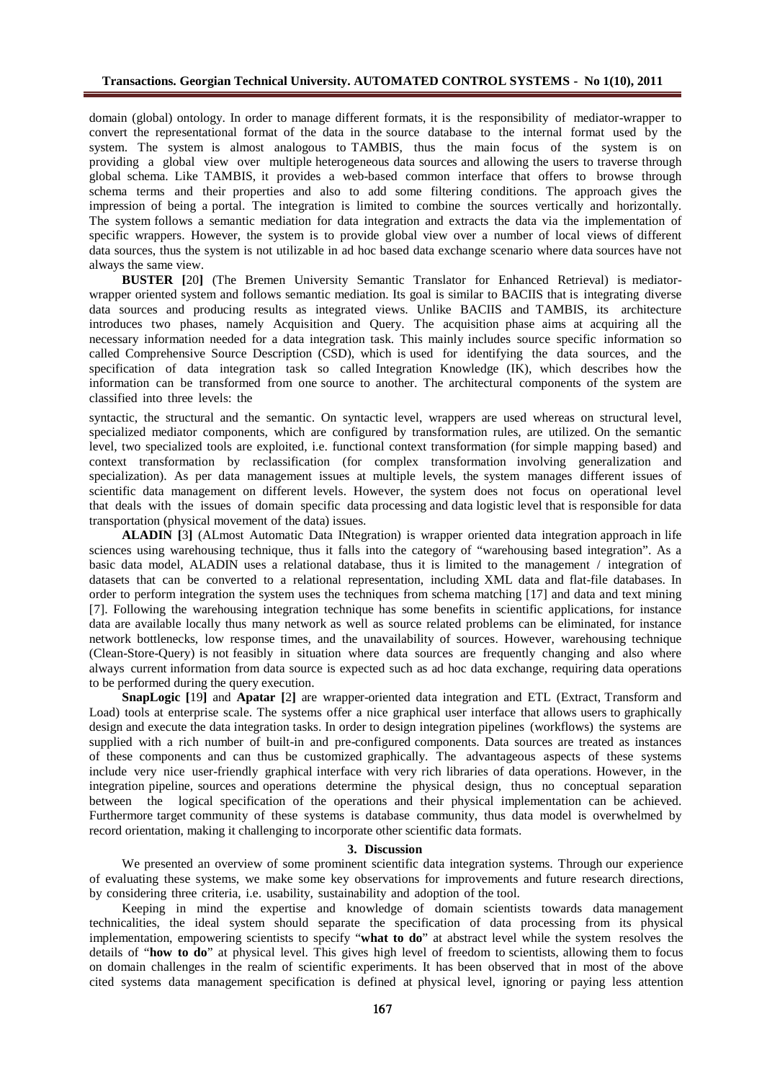domain (global) ontology. In order to manage different formats, it is the responsibility of mediator-wrapper to convert the representational format of the data in the source database to the internal format used by the system. The system is almost analogous to TAMBIS, thus the main focus of the system is on providing a global view over multiple heterogeneous data sources and allowing the users to traverse through global schema. Like TAMBIS, it provides a web-based common interface that offers to browse through schema terms and their properties and also to add some filtering conditions. The approach gives the impression of being a portal. The integration is limited to combine the sources vertically and horizontally. The system follows a semantic mediation for data integration and extracts the data via the implementation of specific wrappers. However, the system is to provide global view over a number of local views of different data sources, thus the system is not utilizable in ad hoc based data exchange scenario where data sources have not always the same view.

**BUSTER [**20**]** (The Bremen University Semantic Translator for Enhanced Retrieval) is mediatorwrapper oriented system and follows semantic mediation. Its goal is similar to BACIIS that is integrating diverse data sources and producing results as integrated views. Unlike BACIIS and TAMBIS, its architecture introduces two phases, namely Acquisition and Query. The acquisition phase aims at acquiring all the necessary information needed for a data integration task. This mainly includes source specific information so called Comprehensive Source Description (CSD), which is used for identifying the data sources, and the specification of data integration task so called Integration Knowledge (IK), which describes how the information can be transformed from one source to another. The architectural components of the system are classified into three levels: the

syntactic, the structural and the semantic. On syntactic level, wrappers are used whereas on structural level, specialized mediator components, which are configured by transformation rules, are utilized. On the semantic level, two specialized tools are exploited, i.e. functional context transformation (for simple mapping based) and context transformation by reclassification (for complex transformation involving generalization and specialization). As per data management issues at multiple levels, the system manages different issues of scientific data management on different levels. However, the system does not focus on operational level that deals with the issues of domain specific data processing and data logistic level that is responsible for data transportation (physical movement of the data) issues.

**ALADIN [**3**]** (ALmost Automatic Data INtegration) is wrapper oriented data integration approach in life sciences using warehousing technique, thus it falls into the category of "warehousing based integration". As a basic data model, ALADIN uses a relational database, thus it is limited to the management / integration of datasets that can be converted to a relational representation, including XML data and flat-file databases. In order to perform integration the system uses the techniques from schema matching [17] and data and text mining [7]. Following the warehousing integration technique has some benefits in scientific applications, for instance data are available locally thus many network as well as source related problems can be eliminated, for instance network bottlenecks, low response times, and the unavailability of sources. However, warehousing technique (Clean-Store-Query) is not feasibly in situation where data sources are frequently changing and also where always current information from data source is expected such as ad hoc data exchange, requiring data operations to be performed during the query execution.

**SnapLogic [**19**]** and **Apatar [**2**]** are wrapper-oriented data integration and ETL (Extract, Transform and Load) tools at enterprise scale. The systems offer a nice graphical user interface that allows users to graphically design and execute the data integration tasks. In order to design integration pipelines (workflows) the systems are supplied with a rich number of built-in and pre-configured components. Data sources are treated as instances of these components and can thus be customized graphically. The advantageous aspects of these systems include very nice user-friendly graphical interface with very rich libraries of data operations. However, in the integration pipeline, sources and operations determine the physical design, thus no conceptual separation between the logical specification of the operations and their physical implementation can be achieved. Furthermore target community of these systems is database community, thus data model is overwhelmed by record orientation, making it challenging to incorporate other scientific data formats.

#### **3. Discussion**

We presented an overview of some prominent scientific data integration systems. Through our experience of evaluating these systems, we make some key observations for improvements and future research directions, by considering three criteria, i.e. usability, sustainability and adoption of the tool.

Keeping in mind the expertise and knowledge of domain scientists towards data management technicalities, the ideal system should separate the specification of data processing from its physical implementation, empowering scientists to specify "**what to do**" at abstract level while the system resolves the details of "**how to do**" at physical level. This gives high level of freedom to scientists, allowing them to focus on domain challenges in the realm of scientific experiments. It has been observed that in most of the above cited systems data management specification is defined at physical level, ignoring or paying less attention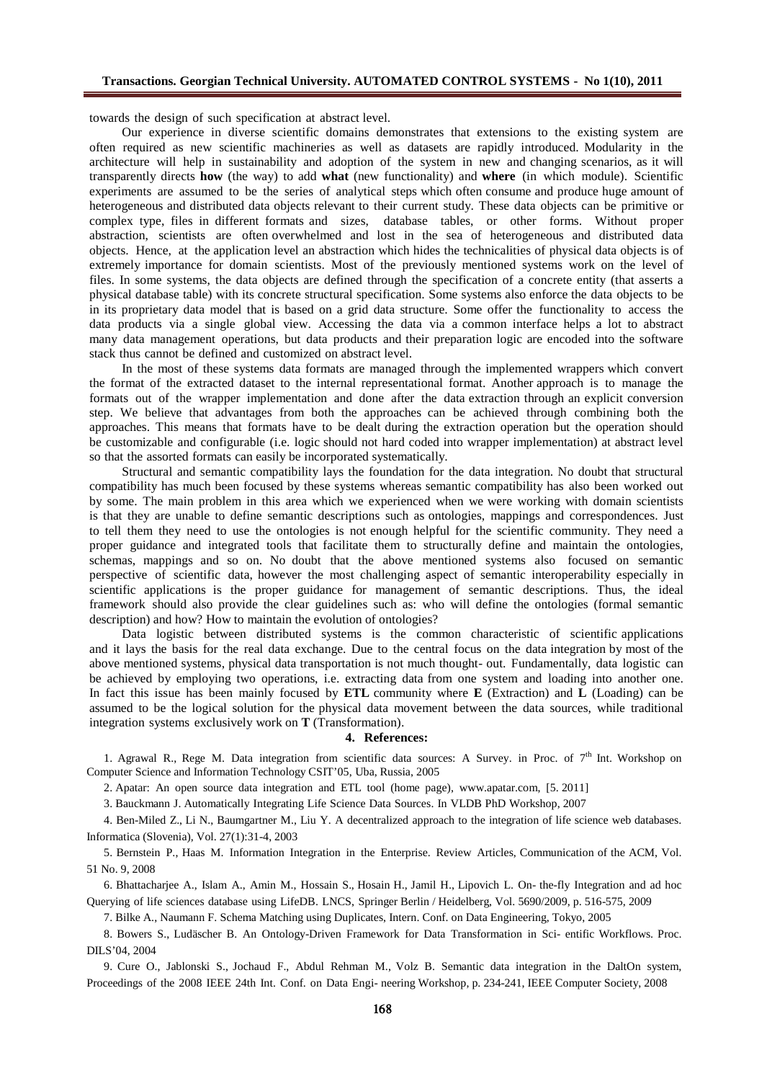towards the design of such specification at abstract level.

Our experience in diverse scientific domains demonstrates that extensions to the existing system are often required as new scientific machineries as well as datasets are rapidly introduced. Modularity in the architecture will help in sustainability and adoption of the system in new and changing scenarios, as it will transparently directs how (the way) to add what (new functionality) and where (in which module). Scientific experiments are assumed to be the series of analytical steps which often consume and poduce huge amountof heterogeneous and distributed data objects relevant to their current study. These data objects can be primitive or complex type, files in different formats and sizes, database tables, or other forms. Without proper abstraction, scientists are often overwhelmed and lost in the sea of heterogeneous and distributed data objects. Hence, at the application level anabstraction which hidesthetechnicalitiesof physical data objects is of extremely importance for domain scientists. Most of the previously mentioned systems work on the level of files. In some systems, the data objects are defined through the specification of a congrete entity (that asserts a physical database table) with its concrete structural specification. Some systems alsoenforce the data objects to be in its proprietary data model that is based on a grid data structure. Some offer the functionality to access the data products via a single global view. Accessing the data via a common interface helps a lot to abstract many data management operations, but data products andtheir preparation logic are encoded into the software stack thus cannot bedefined andcustomized on abstract level.

In the most of these systems data formats are managedthrough the implemented wrappers which convert the format of the extracted dataset to the internal representational format. Another approach is to manage the formats out of the wrapper implementation and done after the data extraction through an explicit conversion step. We believe that advantages from both the approaches can be achieved through combining both the approaches. This meansthat formats have to be dealt during the extraction operation but the operation should be customizable andconfigurable (i.e. logic should not hard codedinto wrapper implementation) at abstract level so that the assorted formats can easily beincorporated systematically.

Structural and semantic compatibility lays the foundation for the data integration. No doubtthat structural compatibility hasmuch beenfocused by these systems whereassemantic compatibility hasalso beenworked out by some. The main problem in this area which we experienced when we were working with domain scientists is that they are unable to define semantic descriptions such as ontologies, mappings and correspondences. Just to tell them they needto use the ontologies is not enough helpful for the scientific community. They need a proper guidance and integrated tools that facilitate them to structurally define and maintain the ontologies, schemas, mappings and so on. No doubt that the above mentioned systems also focused on semantic perspective of scientific data, however the most challenging aspect of semantic interoperability especially in scientific applications is the proper guidance for management of semantic descriptions. Thus, the ideal framework should also provide the dear guidelines such as: who will define the ontologies (formal semantic description) and how?How to maintain the evolution of ontologies?

Data logistic between distributed systems is the common characteristic of scientific applications and it lays the basis for the real data exchange. Due to the central focus on the data integration bymostof the above mentionedsystems, physical data transportation is notmuchthought- out. Fundamentally, data logistic can be achieved by employing two operations, i.e. extracting data from one system and loading into another one. In fact this issue has been mainly focused by ETL community where E (Extraction) and L (Loading) can be assumed to be the logical solution for the physical data movement between the data sources, while traditional integration systems exclusively work on T (Transformation).

### 4. References:

1. Agrawal R., Rege M. Data integration from scientific data sources: A Survey. in Proc. of 7<sup>th</sup> Int. Workshop on Computer Science and Information Technology CSIT €05, Uba, Russia, 2005

2. Apatar: An open source data integration and ETL tool (home page), <www.apatar.com>, [5. 2011]

3. BauckmannJ. Automatically Integrating Life Science Data Sources. In VLDB PhDWorkshop,2007

4. Ben-Miled Z., Li N., Baumgartner M., Liu Y. A decentralized approachto the integration of life science webdatabases. Informatica(Slovenia), Vol. 27(1):31-4, 2003

5. Bernstein P., Haas M. Information Integration in the Enterprise. Review Articles, Communication of the ACM, Vol. 51 No. 9, 2008

6. BhattacharjeeA., Islam A., Amin M., Hossain S., Hosain H., Jamil H., Lipovich L. On- the-fly Integration and ad hoc Querying of life sciencesdatabaseusing LifeDB. LNCS, Springer Berlin / Heidelberg, Vol. 5690/2009, p. 516-575, 2009

7. Bilke A., Naumann F.SchemaMatchingusingDuplicates, Intern. Conf. on DataEngineering, Tokyo, 2005

8. Bowers S., Ludfscher B. An Ontology-Driven Framework for Data Transformation in Sci- entific Workflows. Proc. DILS€04, 2004

9. Cure O., Jablonski S., Jochaud F., Abdul Rehman M., Volz B. Semantic data integration in the DaltOn system, Proceedings of the 2008 IEEE 24th Int. Conf. on Data Engi- neering Workshop,p. 234-241, IEEE Computer Scciety, 2008